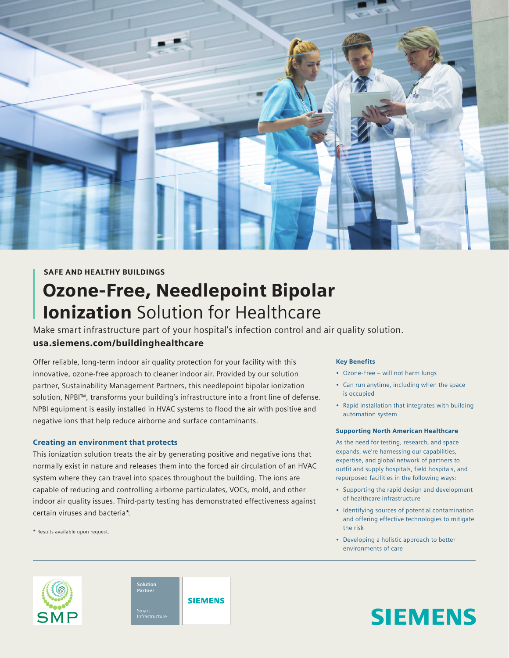

## SAFE AND HEALTHY BUILDINGS

# Ozone-Free, Needlepoint Bipolar **Ionization** Solution for Healthcare

Make smart infrastructure part of your hospital's infection control and air quality solution. usa.siemens.com/buildinghealthcare

Offer reliable, long-term indoor air quality protection for your facility with this innovative, ozone-free approach to cleaner indoor air. Provided by our solution partner, Sustainability Management Partners, this needlepoint bipolar ionization solution, NPBI™, transforms your building's infrastructure into a front line of defense. NPBI equipment is easily installed in HVAC systems to flood the air with positive and negative ions that help reduce airborne and surface contaminants.

#### Creating an environment that protects

This ionization solution treats the air by generating positive and negative ions that normally exist in nature and releases them into the forced air circulation of an HVAC system where they can travel into spaces throughout the building. The ions are capable of reducing and controlling airborne particulates, VOCs, mold, and other indoor air quality issues. Third-party testing has demonstrated effectiveness against certain viruses and bacteria\*.

\* Results available upon request.

#### Key Benefits

- Ozone-Free will not harm lungs
- Can run anytime, including when the space is occupied
- Rapid installation that integrates with building automation system

#### Supporting North American Healthcare

As the need for testing, research, and space expands, we're harnessing our capabilities, expertise, and global network of partners to outfit and supply hospitals, field hospitals, and repurposed facilities in the following ways:

- Supporting the rapid design and development of healthcare infrastructure
- Identifying sources of potential contamination and offering effective technologies to mitigate the risk
- Developing a holistic approach to better environments of care

# **SIEMENS**





**SIEMENS**